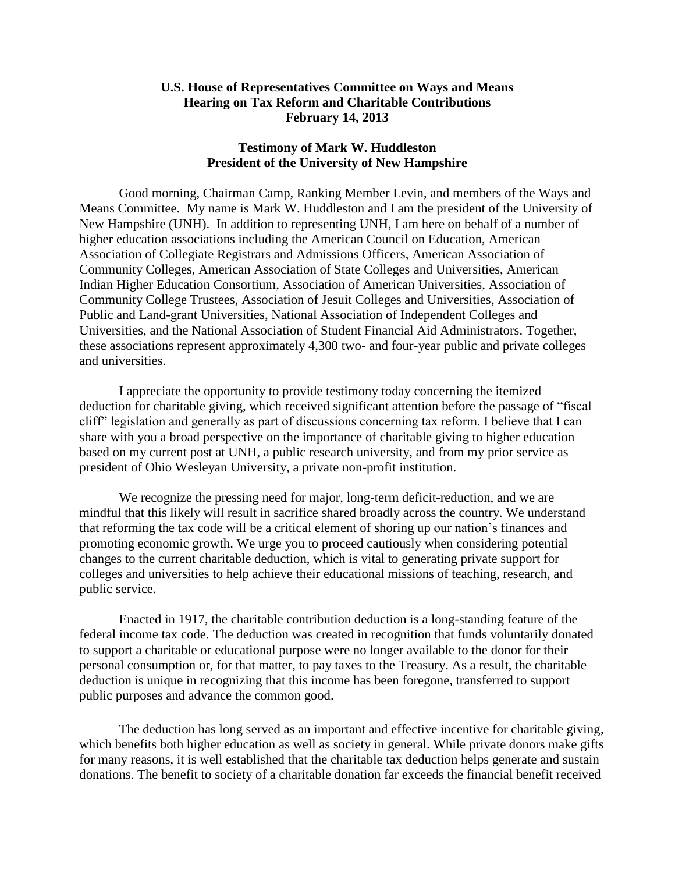## **U.S. House of Representatives Committee on Ways and Means Hearing on Tax Reform and Charitable Contributions February 14, 2013**

## **Testimony of Mark W. Huddleston President of the University of New Hampshire**

Good morning, Chairman Camp, Ranking Member Levin, and members of the Ways and Means Committee. My name is Mark W. Huddleston and I am the president of the University of New Hampshire (UNH). In addition to representing UNH, I am here on behalf of a number of higher education associations including the American Council on Education, American Association of Collegiate Registrars and Admissions Officers, American Association of Community Colleges, American Association of State Colleges and Universities, American Indian Higher Education Consortium, Association of American Universities, Association of Community College Trustees, Association of Jesuit Colleges and Universities, Association of Public and Land-grant Universities, National Association of Independent Colleges and Universities, and the National Association of Student Financial Aid Administrators. Together, these associations represent approximately 4,300 two- and four-year public and private colleges and universities.

I appreciate the opportunity to provide testimony today concerning the itemized deduction for charitable giving, which received significant attention before the passage of "fiscal cliff" legislation and generally as part of discussions concerning tax reform. I believe that I can share with you a broad perspective on the importance of charitable giving to higher education based on my current post at UNH, a public research university, and from my prior service as president of Ohio Wesleyan University, a private non-profit institution.

We recognize the pressing need for major, long-term deficit-reduction, and we are mindful that this likely will result in sacrifice shared broadly across the country. We understand that reforming the tax code will be a critical element of shoring up our nation's finances and promoting economic growth. We urge you to proceed cautiously when considering potential changes to the current charitable deduction, which is vital to generating private support for colleges and universities to help achieve their educational missions of teaching, research, and public service.

Enacted in 1917, the charitable contribution deduction is a long-standing feature of the federal income tax code. The deduction was created in recognition that funds voluntarily donated to support a charitable or educational purpose were no longer available to the donor for their personal consumption or, for that matter, to pay taxes to the Treasury. As a result, the charitable deduction is unique in recognizing that this income has been foregone, transferred to support public purposes and advance the common good.

The deduction has long served as an important and effective incentive for charitable giving, which benefits both higher education as well as society in general. While private donors make gifts for many reasons, it is well established that the charitable tax deduction helps generate and sustain donations. The benefit to society of a charitable donation far exceeds the financial benefit received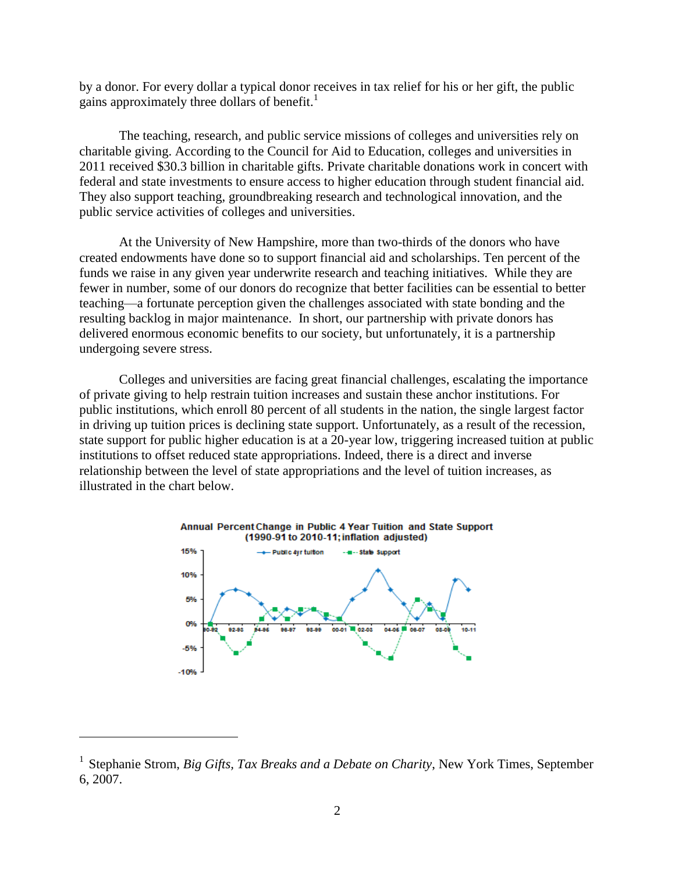by a donor. For every dollar a typical donor receives in tax relief for his or her gift, the public gains approximately three dollars of benefit.<sup>1</sup>

The teaching, research, and public service missions of colleges and universities rely on charitable giving. According to the Council for Aid to Education, colleges and universities in 2011 received \$30.3 billion in charitable gifts. Private charitable donations work in concert with federal and state investments to ensure access to higher education through student financial aid. They also support teaching, groundbreaking research and technological innovation, and the public service activities of colleges and universities.

At the University of New Hampshire, more than two-thirds of the donors who have created endowments have done so to support financial aid and scholarships. Ten percent of the funds we raise in any given year underwrite research and teaching initiatives. While they are fewer in number, some of our donors do recognize that better facilities can be essential to better teaching—a fortunate perception given the challenges associated with state bonding and the resulting backlog in major maintenance. In short, our partnership with private donors has delivered enormous economic benefits to our society, but unfortunately, it is a partnership undergoing severe stress.

Colleges and universities are facing great financial challenges, escalating the importance of private giving to help restrain tuition increases and sustain these anchor institutions. For public institutions, which enroll 80 percent of all students in the nation, the single largest factor in driving up tuition prices is declining state support. Unfortunately, as a result of the recession, state support for public higher education is at a 20-year low, triggering increased tuition at public institutions to offset reduced state appropriations. Indeed, there is a direct and inverse relationship between the level of state appropriations and the level of tuition increases, as illustrated in the chart below.



 $\overline{a}$ 

<sup>&</sup>lt;sup>1</sup> Stephanie Strom, *Big Gifts, Tax Breaks and a Debate on Charity*, New York Times, September 6, 2007.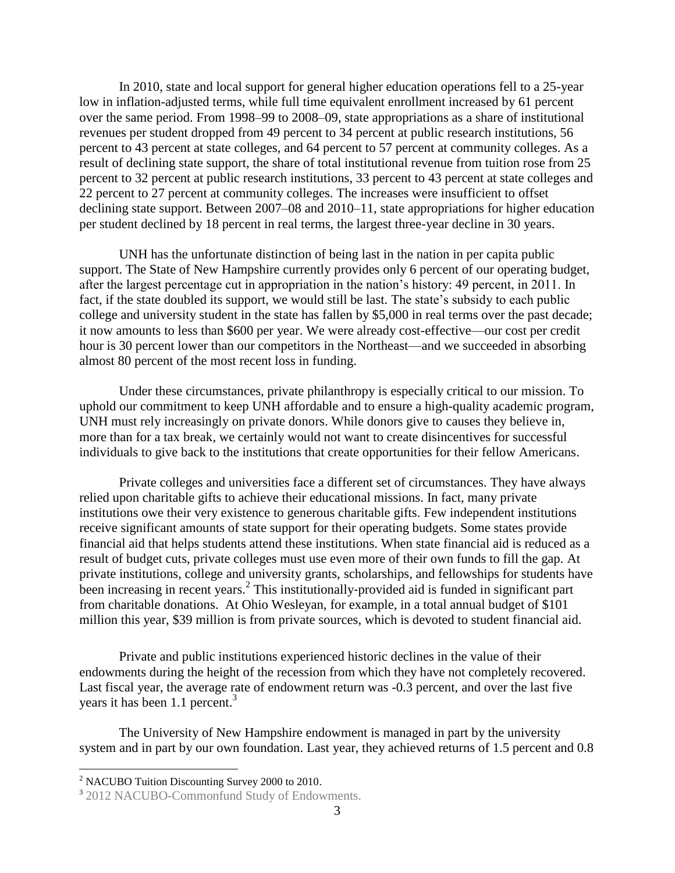In 2010, state and local support for general higher education operations fell to a 25-year low in inflation-adjusted terms, while full time equivalent enrollment increased by 61 percent over the same period. From 1998–99 to 2008–09, state appropriations as a share of institutional revenues per student dropped from 49 percent to 34 percent at public research institutions, 56 percent to 43 percent at state colleges, and 64 percent to 57 percent at community colleges. As a result of declining state support, the share of total institutional revenue from tuition rose from 25 percent to 32 percent at public research institutions, 33 percent to 43 percent at state colleges and 22 percent to 27 percent at community colleges. The increases were insufficient to offset declining state support. Between 2007–08 and 2010–11, state appropriations for higher education per student declined by 18 percent in real terms, the largest three-year decline in 30 years.

UNH has the unfortunate distinction of being last in the nation in per capita public support. The State of New Hampshire currently provides only 6 percent of our operating budget, after the largest percentage cut in appropriation in the nation's history: 49 percent, in 2011. In fact, if the state doubled its support, we would still be last. The state's subsidy to each public college and university student in the state has fallen by \$5,000 in real terms over the past decade; it now amounts to less than \$600 per year. We were already cost-effective—our cost per credit hour is 30 percent lower than our competitors in the Northeast—and we succeeded in absorbing almost 80 percent of the most recent loss in funding.

Under these circumstances, private philanthropy is especially critical to our mission. To uphold our commitment to keep UNH affordable and to ensure a high-quality academic program, UNH must rely increasingly on private donors. While donors give to causes they believe in, more than for a tax break, we certainly would not want to create disincentives for successful individuals to give back to the institutions that create opportunities for their fellow Americans.

Private colleges and universities face a different set of circumstances. They have always relied upon charitable gifts to achieve their educational missions. In fact, many private institutions owe their very existence to generous charitable gifts. Few independent institutions receive significant amounts of state support for their operating budgets. Some states provide financial aid that helps students attend these institutions. When state financial aid is reduced as a result of budget cuts, private colleges must use even more of their own funds to fill the gap. At private institutions, college and university grants, scholarships, and fellowships for students have been increasing in recent years.<sup>2</sup> This institutionally-provided aid is funded in significant part from charitable donations. At Ohio Wesleyan, for example, in a total annual budget of \$101 million this year, \$39 million is from private sources, which is devoted to student financial aid.

Private and public institutions experienced historic declines in the value of their endowments during the height of the recession from which they have not completely recovered. Last fiscal year, the average rate of endowment return was -0.3 percent, and over the last five years it has been 1.1 percent.<sup>3</sup>

The University of New Hampshire endowment is managed in part by the university system and in part by our own foundation. Last year, they achieved returns of 1.5 percent and 0.8

 $\overline{a}$ 

<sup>2</sup> NACUBO Tuition Discounting Survey 2000 to 2010.

<sup>&</sup>lt;sup>3</sup> 2012 NACUBO-Commonfund Study of Endowments.